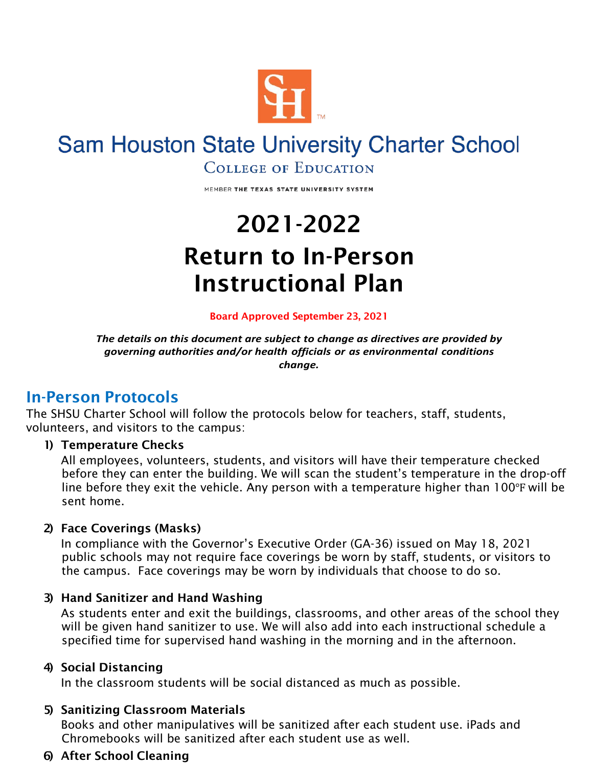

# **Sam Houston State University Charter School**

**COLLEGE OF EDUCATION** 

MEMBER THE TEXAS STATE UNIVERSITY SYSTEM

# 2021-2022 Return to In-Person Instructional Plan

#### Board Approved September 23, 2021

*The details on this document are subject to change as directives are provided by governing authorities and/or health officials or as environmental conditions change.*

### In-Person Protocols

The SHSU Charter School will follow the protocols below for teachers, staff, students, volunteers, and visitors to the campus:

#### 1) Temperature Checks

All employees, volunteers, students, and visitors will have their temperature checked before they can enter the building. We will scan the student's temperature in the drop-off line before they exit the vehicle. Any person with a temperature higher than 100℉ will be sent home.

#### 2) Face Coverings (Masks)

In compliance with the Governor's Executive Order (GA-36) issued on May 18, 2021 public schools may not require face coverings be worn by staff, students, or visitors to the campus. Face coverings may be worn by individuals that choose to do so.

#### 3) Hand Sanitizer and Hand Washing

As students enter and exit the buildings, classrooms, and other areas of the school they will be given hand sanitizer to use. We will also add into each instructional schedule a specified time for supervised hand washing in the morning and in the afternoon.

#### 4) Social Distancing

In the classroom students will be social distanced as much as possible.

#### 5) Sanitizing Classroom Materials

Books and other manipulatives will be sanitized after each student use. iPads and Chromebooks will be sanitized after each student use as well.

#### 6) After School Cleaning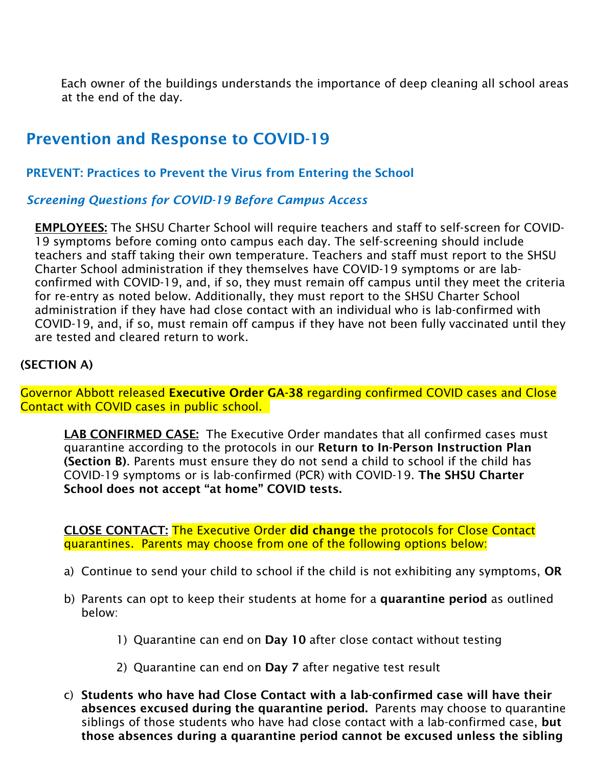Each owner of the buildings understands the importance of deep cleaning all school areas at the end of the day.

## Prevention and Response to COVID-19

PREVENT: Practices to Prevent the Virus from Entering the School

*Screening Questions for COVID-19 Before Campus Access*

EMPLOYEES: The SHSU Charter School will require teachers and staff to self-screen for COVID-19 symptoms before coming onto campus each day. The self-screening should include teachers and staff taking their own temperature. Teachers and staff must report to the SHSU Charter School administration if they themselves have COVID-19 symptoms or are labconfirmed with COVID-19, and, if so, they must remain off campus until they meet the criteria for re-entry as noted below. Additionally, they must report to the SHSU Charter School administration if they have had close contact with an individual who is lab-confirmed with COVID-19, and, if so, must remain off campus if they have not been fully vaccinated until they are tested and cleared return to work.

#### (SECTION A)

Governor Abbott released Executive Order GA-38 regarding confirmed COVID cases and Close Contact with COVID cases in public school.

LAB CONFIRMED CASE: The Executive Order mandates that all confirmed cases must quarantine according to the protocols in our Return to In-Person Instruction Plan (Section B). Parents must ensure they do not send a child to school if the child has COVID-19 symptoms or is lab-confirmed (PCR) with COVID-19. The SHSU Charter School does not accept "at home" COVID tests.

CLOSE CONTACT: The Executive Order did change the protocols for Close Contact quarantines. Parents may choose from one of the following options below:

- a) Continue to send your child to school if the child is not exhibiting any symptoms, OR
- b) Parents can opt to keep their students at home for a quarantine period as outlined below:
	- 1) Quarantine can end on Day 10 after close contact without testing
	- 2) Quarantine can end on Day 7 after negative test result
- c) Students who have had Close Contact with a lab-confirmed case will have their absences excused during the quarantine period. Parents may choose to quarantine siblings of those students who have had close contact with a lab-confirmed case, but those absences during a quarantine period cannot be excused unless the sibling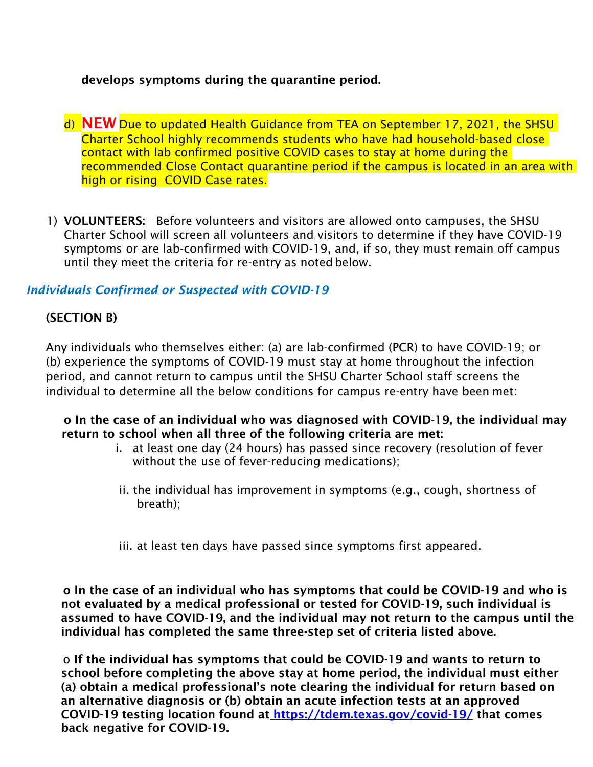#### develops symptoms during the quarantine period.

- d) NEW Due to updated Health Guidance from TEA on September 17, 2021, the SHSU Charter School highly recommends students who have had household-based close contact with lab confirmed positive COVID cases to stay at home during the recommended Close Contact quarantine period if the campus is located in an area with high or rising COVID Case rates.
- 1) VOLUNTEERS: Before volunteers and visitors are allowed onto campuses, the SHSU Charter School will screen all volunteers and visitors to determine if they have COVID-19 symptoms or are lab-confirmed with COVID-19, and, if so, they must remain off campus until they meet the criteria for re-entry as noted below.

#### *Individuals Confirmed or Suspected with COVID-19*

#### (SECTION B)

Any individuals who themselves either: (a) are lab-confirmed (PCR) to have COVID-19; or (b) experience the symptoms of COVID-19 must stay at home throughout the infection period, and cannot return to campus until the SHSU Charter School staff screens the individual to determine all the below conditions for campus re-entry have been met:

#### o In the case of an individual who was diagnosed with COVID-19, the individual may return to school when all three of the following criteria are met:

- i. at least one day (24 hours) has passed since recovery (resolution of fever without the use of fever-reducing medications);
- ii. the individual has improvement in symptoms (e.g., cough, shortness of breath);
- iii. at least ten days have passed since symptoms first appeared.

o In the case of an individual who has symptoms that could be COVID-19 and who is not evaluated by a medical professional or tested for COVID-19, such individual is assumed to have COVID-19, and the individual may not return to the campus until the individual has completed the same three-step set of criteria listed above.

o If the individual has symptoms that could be COVID-19 and wants to return to school before completing the above stay at home period, the individual must either (a) obtain a medical professional's note clearing the individual for return based on an alternative diagnosis or (b) obtain an acute infection tests at an approved COVID-19 testing location found at <https://tdem.texas.gov/covid-19/> that comes back negative for COVID-19.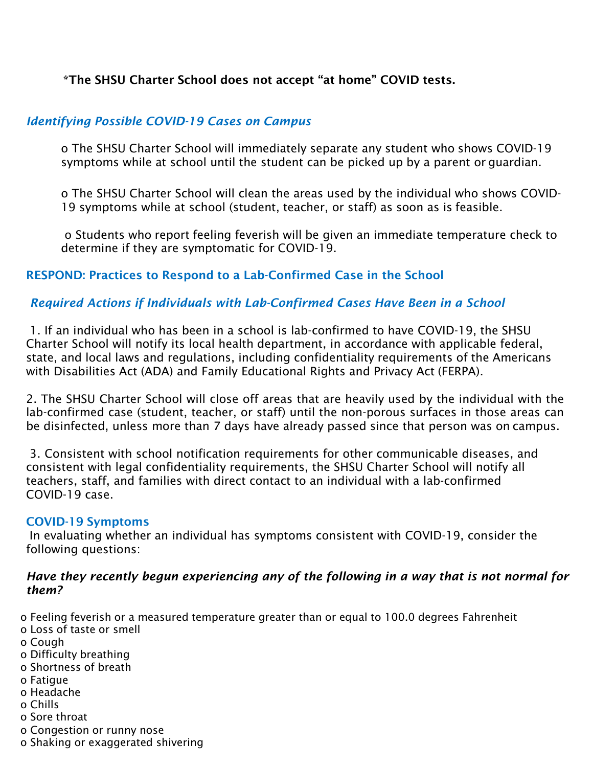#### \*The SHSU Charter School does not accept "at home" COVID tests.

#### *Identifying Possible COVID-19 Cases on Campus*

o The SHSU Charter School will immediately separate any student who shows COVID-19 symptoms while at school until the student can be picked up by a parent or guardian.

o The SHSU Charter School will clean the areas used by the individual who shows COVID-19 symptoms while at school (student, teacher, or staff) as soon as is feasible.

o Students who report feeling feverish will be given an immediate temperature check to determine if they are symptomatic for COVID-19.

#### RESPOND: Practices to Respond to a Lab-Confirmed Case in the School

#### *Required Actions if Individuals with Lab-Confirmed Cases Have Been in a School*

1. If an individual who has been in a school is lab-confirmed to have COVID-19, the SHSU Charter School will notify its local health department, in accordance with applicable federal, state, and local laws and regulations, including confidentiality requirements of the Americans with Disabilities Act (ADA) and Family Educational Rights and Privacy Act (FERPA).

2. The SHSU Charter School will close off areas that are heavily used by the individual with the lab-confirmed case (student, teacher, or staff) until the non-porous surfaces in those areas can be disinfected, unless more than 7 days have already passed since that person was on campus.

3. Consistent with school notification requirements for other communicable diseases, and consistent with legal confidentiality requirements, the SHSU Charter School will notify all teachers, staff, and families with direct contact to an individual with a lab-confirmed COVID-19 case.

#### COVID-19 Symptoms

In evaluating whether an individual has symptoms consistent with COVID-19, consider the following questions:

#### *Have they recently begun experiencing any of the following in a way that is not normal for them?*

o Feeling feverish or a measured temperature greater than or equal to 100.0 degrees Fahrenheit

- o Loss of taste or smell
- o Cough
- o Difficulty breathing
- o Shortness of breath
- o Fatigue
- o Headache
- o Chills
- o Sore throat
- o Congestion or runny nose
- o Shaking or exaggerated shivering